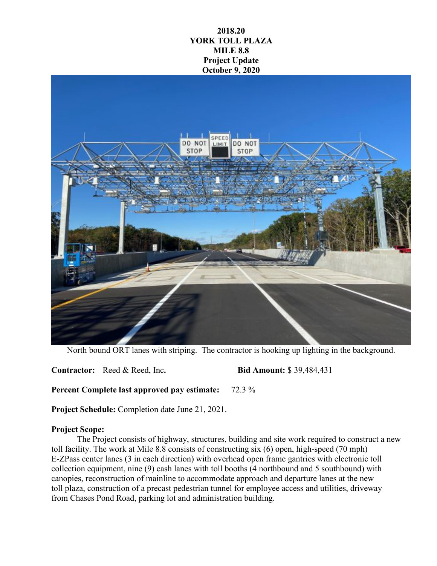## **2018.20 YORK TOLL PLAZA MILE 8.8 Project Update October 9, 2020**



North bound ORT lanes with striping. The contractor is hooking up lighting in the background.

**Contractor:** Reed & Reed, Inc**. Bid Amount:** \$ 39,484,431

**Percent Complete last approved pay estimate:** 72.3 %

**Project Schedule:** Completion date June 21, 2021.

## **Project Scope:**

The Project consists of highway, structures, building and site work required to construct a new toll facility. The work at Mile 8.8 consists of constructing six (6) open, high-speed (70 mph) E-ZPass center lanes (3 in each direction) with overhead open frame gantries with electronic toll collection equipment, nine (9) cash lanes with toll booths (4 northbound and 5 southbound) with canopies, reconstruction of mainline to accommodate approach and departure lanes at the new toll plaza, construction of a precast pedestrian tunnel for employee access and utilities, driveway from Chases Pond Road, parking lot and administration building.